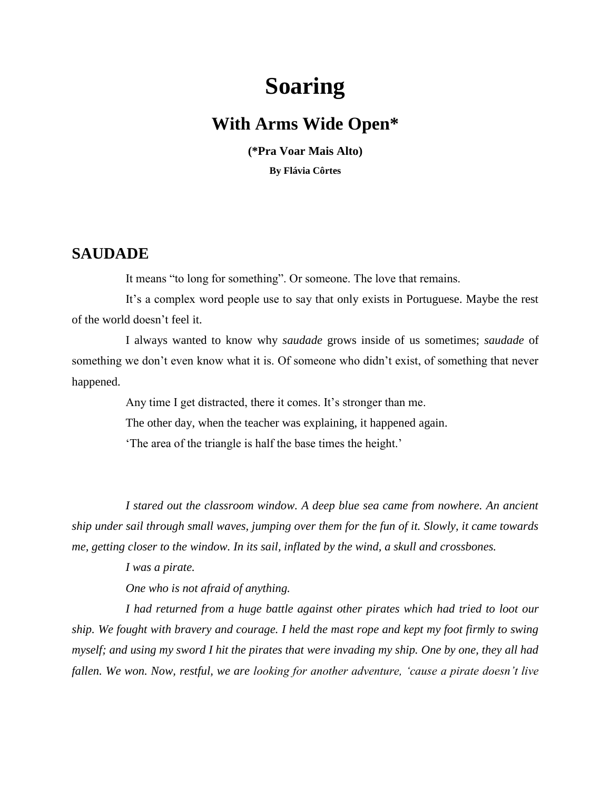# **Soaring**

### **With Arms Wide Open\***

**(\*Pra Voar Mais Alto) By Flávia Côrtes**

#### **SAUDADE**

It means "to long for something". Or someone. The love that remains.

It's a complex word people use to say that only exists in Portuguese. Maybe the rest of the world doesn't feel it.

I always wanted to know why *saudade* grows inside of us sometimes; *saudade* of something we don't even know what it is. Of someone who didn't exist, of something that never happened.

Any time I get distracted, there it comes. It's stronger than me.

The other day, when the teacher was explaining, it happened again.

'The area of the triangle is half the base times the height.'

*I stared out the classroom window. A deep blue sea came from nowhere. An ancient ship under sail through small waves, jumping over them for the fun of it. Slowly, it came towards me, getting closer to the window. In its sail, inflated by the wind, a skull and crossbones.*

*I was a pirate.* 

*One who is not afraid of anything.*

*I had returned from a huge battle against other pirates which had tried to loot our ship. We fought with bravery and courage. I held the mast rope and kept my foot firmly to swing myself; and using my sword I hit the pirates that were invading my ship. One by one, they all had fallen. We won. Now, restful, we are looking for another adventure, 'cause a pirate doesn't live*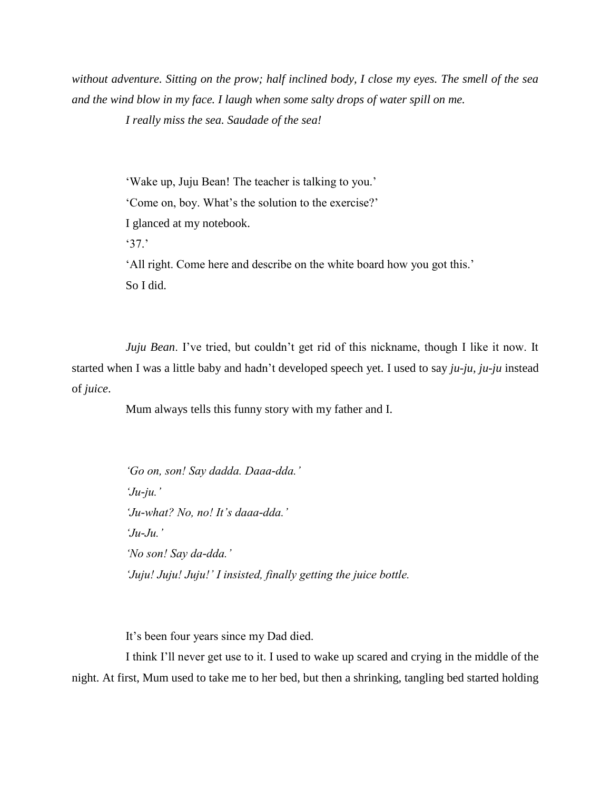*without adventure. Sitting on the prow; half inclined body, I close my eyes. The smell of the sea and the wind blow in my face. I laugh when some salty drops of water spill on me.* 

*I really miss the sea. Saudade of the sea!*

'Wake up, Juju Bean! The teacher is talking to you.' 'Come on, boy. What's the solution to the exercise?' I glanced at my notebook. '37.' 'All right. Come here and describe on the white board how you got this.' So I did.

*Juju Bean*. I've tried, but couldn't get rid of this nickname, though I like it now. It started when I was a little baby and hadn't developed speech yet. I used to say *ju-ju, ju-ju* instead of *juice*.

Mum always tells this funny story with my father and I.

*'Go on, son! Say dadda. Daaa-dda.' 'Ju-ju.' 'Ju-what? No, no! It's daaa-dda.' 'Ju-Ju.' 'No son! Say da-dda.' 'Juju! Juju! Juju!' I insisted, finally getting the juice bottle.*

It's been four years since my Dad died.

I think I'll never get use to it. I used to wake up scared and crying in the middle of the night. At first, Mum used to take me to her bed, but then a shrinking, tangling bed started holding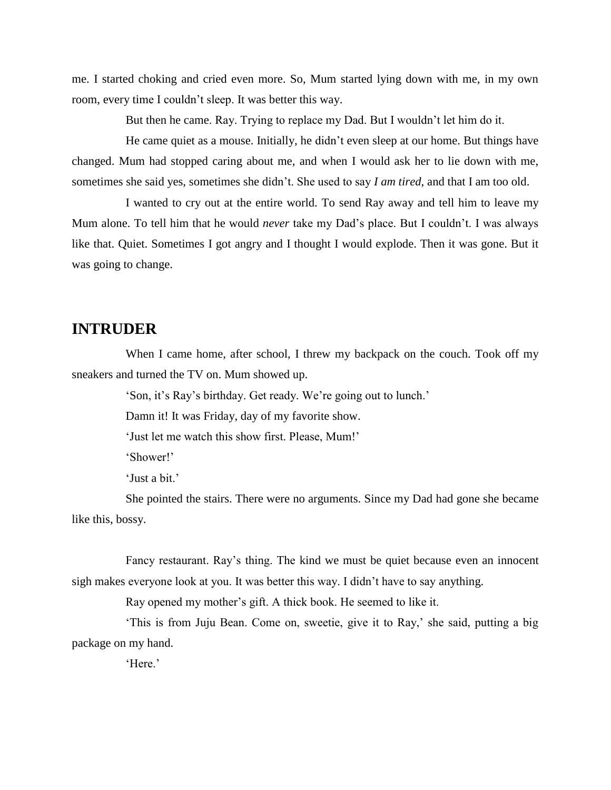me. I started choking and cried even more. So, Mum started lying down with me, in my own room, every time I couldn't sleep. It was better this way.

But then he came. Ray. Trying to replace my Dad. But I wouldn't let him do it.

He came quiet as a mouse. Initially, he didn't even sleep at our home. But things have changed. Mum had stopped caring about me, and when I would ask her to lie down with me, sometimes she said yes, sometimes she didn't. She used to say *I am tired*, and that I am too old.

I wanted to cry out at the entire world. To send Ray away and tell him to leave my Mum alone. To tell him that he would *never* take my Dad's place. But I couldn't. I was always like that. Quiet. Sometimes I got angry and I thought I would explode. Then it was gone. But it was going to change.

#### **INTRUDER**

When I came home, after school, I threw my backpack on the couch. Took off my sneakers and turned the TV on. Mum showed up.

'Son, it's Ray's birthday. Get ready. We're going out to lunch.'

Damn it! It was Friday, day of my favorite show.

'Just let me watch this show first. Please, Mum!'

'Shower!'

'Just a bit.'

She pointed the stairs. There were no arguments. Since my Dad had gone she became like this, bossy.

Fancy restaurant. Ray's thing. The kind we must be quiet because even an innocent sigh makes everyone look at you. It was better this way. I didn't have to say anything.

Ray opened my mother's gift. A thick book. He seemed to like it.

'This is from Juju Bean. Come on, sweetie, give it to Ray,' she said, putting a big package on my hand.

'Here.'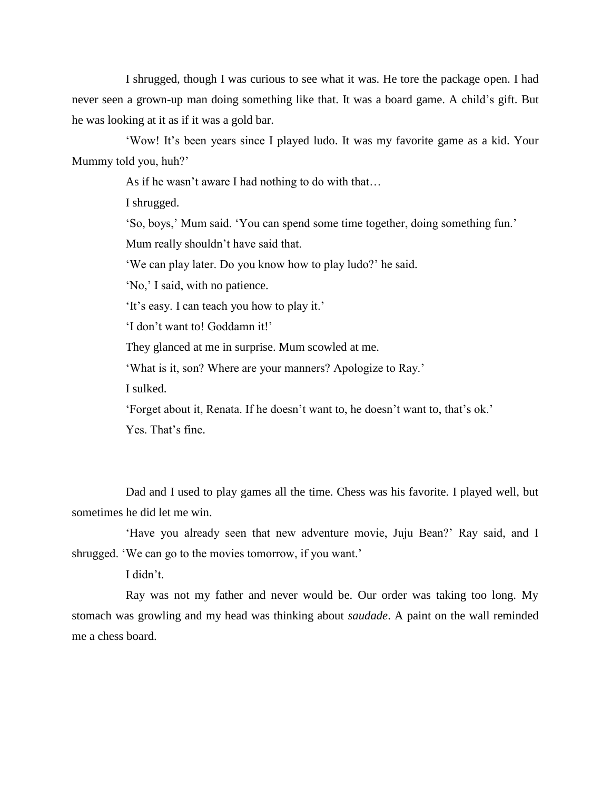I shrugged, though I was curious to see what it was. He tore the package open. I had never seen a grown-up man doing something like that. It was a board game. A child's gift. But he was looking at it as if it was a gold bar.

'Wow! It's been years since I played ludo. It was my favorite game as a kid. Your Mummy told you, huh?'

As if he wasn't aware I had nothing to do with that…

I shrugged.

'So, boys,' Mum said. 'You can spend some time together, doing something fun.'

Mum really shouldn't have said that.

'We can play later. Do you know how to play ludo?' he said.

'No,' I said, with no patience.

'It's easy. I can teach you how to play it.'

'I don't want to! Goddamn it!'

They glanced at me in surprise. Mum scowled at me.

'What is it, son? Where are your manners? Apologize to Ray.'

I sulked.

'Forget about it, Renata. If he doesn't want to, he doesn't want to, that's ok.' Yes. That's fine.

Dad and I used to play games all the time. Chess was his favorite. I played well, but sometimes he did let me win.

'Have you already seen that new adventure movie, Juju Bean?' Ray said, and I shrugged. 'We can go to the movies tomorrow, if you want.'

I didn't.

Ray was not my father and never would be. Our order was taking too long. My stomach was growling and my head was thinking about *saudade*. A paint on the wall reminded me a chess board.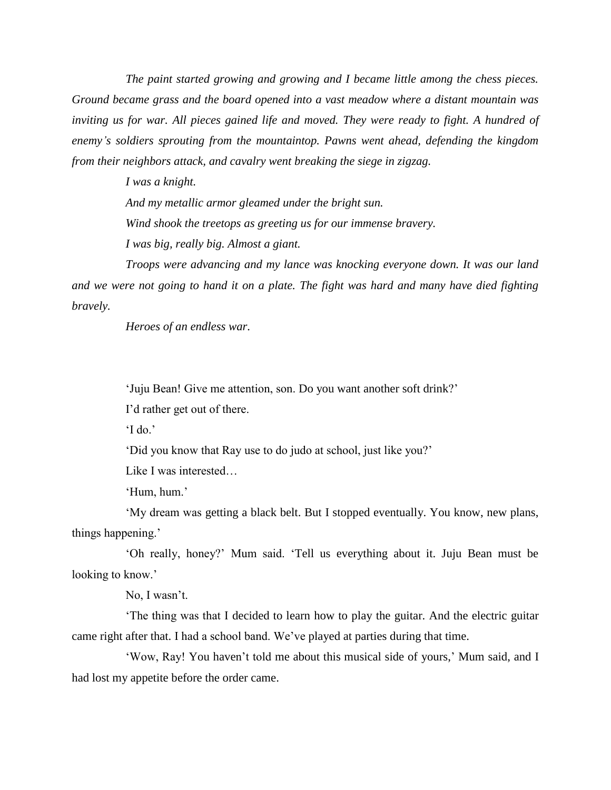*The paint started growing and growing and I became little among the chess pieces. Ground became grass and the board opened into a vast meadow where a distant mountain was*  inviting us for war. All pieces gained life and moved. They were ready to fight. A hundred of *enemy's soldiers sprouting from the mountaintop. Pawns went ahead, defending the kingdom from their neighbors attack, and cavalry went breaking the siege in zigzag.*

> *I was a knight. And my metallic armor gleamed under the bright sun. Wind shook the treetops as greeting us for our immense bravery. I was big, really big. Almost a giant.*

*Troops were advancing and my lance was knocking everyone down. It was our land and we were not going to hand it on a plate. The fight was hard and many have died fighting bravely.*

*Heroes of an endless war.*

'Juju Bean! Give me attention, son. Do you want another soft drink?'

I'd rather get out of there.

 $\mathcal{L}$  do.'

'Did you know that Ray use to do judo at school, just like you?'

Like I was interested…

'Hum, hum.'

'My dream was getting a black belt. But I stopped eventually. You know, new plans, things happening.'

'Oh really, honey?' Mum said. 'Tell us everything about it. Juju Bean must be looking to know.'

No, I wasn't.

'The thing was that I decided to learn how to play the guitar. And the electric guitar came right after that. I had a school band. We've played at parties during that time.

'Wow, Ray! You haven't told me about this musical side of yours,' Mum said, and I had lost my appetite before the order came.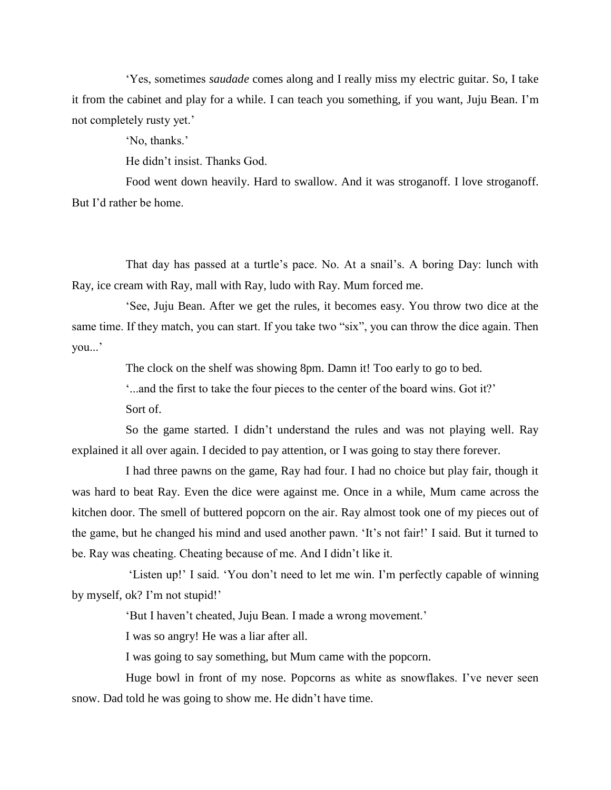'Yes, sometimes *saudade* comes along and I really miss my electric guitar. So, I take it from the cabinet and play for a while. I can teach you something, if you want, Juju Bean. I'm not completely rusty yet.'

'No, thanks.'

He didn't insist. Thanks God.

Food went down heavily. Hard to swallow. And it was stroganoff. I love stroganoff. But I'd rather be home.

That day has passed at a turtle's pace. No. At a snail's. A boring Day: lunch with Ray, ice cream with Ray, mall with Ray, ludo with Ray. Mum forced me.

'See, Juju Bean. After we get the rules, it becomes easy. You throw two dice at the same time. If they match, you can start. If you take two "six", you can throw the dice again. Then you...'

The clock on the shelf was showing 8pm. Damn it! Too early to go to bed.

'...and the first to take the four pieces to the center of the board wins. Got it?'

Sort of.

So the game started. I didn't understand the rules and was not playing well. Ray explained it all over again. I decided to pay attention, or I was going to stay there forever.

I had three pawns on the game, Ray had four. I had no choice but play fair, though it was hard to beat Ray. Even the dice were against me. Once in a while, Mum came across the kitchen door. The smell of buttered popcorn on the air. Ray almost took one of my pieces out of the game, but he changed his mind and used another pawn. 'It's not fair!' I said. But it turned to be. Ray was cheating. Cheating because of me. And I didn't like it.

'Listen up!' I said. 'You don't need to let me win. I'm perfectly capable of winning by myself, ok? I'm not stupid!'

'But I haven't cheated, Juju Bean. I made a wrong movement.'

I was so angry! He was a liar after all.

I was going to say something, but Mum came with the popcorn.

Huge bowl in front of my nose. Popcorns as white as snowflakes. I've never seen snow. Dad told he was going to show me. He didn't have time.